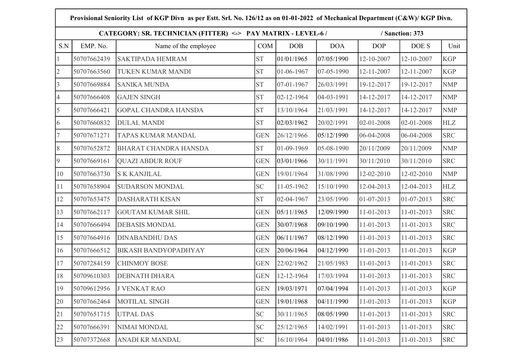|                | Provisional Seniority List of KGP Divn as per Estt. Srl. No. 126/12 as on 01-01-2022 of Mechanical Department (C&W)/ KGP Divn. |                                                             |            |                  |            |            |                 |            |  |  |  |
|----------------|--------------------------------------------------------------------------------------------------------------------------------|-------------------------------------------------------------|------------|------------------|------------|------------|-----------------|------------|--|--|--|
|                |                                                                                                                                | CATEGORY: SR. TECHNICIAN (FITTER) <-> PAY MATRIX - LEVEL-6/ |            |                  |            |            | / Sanction: 373 |            |  |  |  |
| S.N            | EMP. No.                                                                                                                       | Name of the employee                                        | <b>COM</b> | DOB              | <b>DOA</b> | <b>DOP</b> | DOE S           | Unit       |  |  |  |
| $\mathbf{1}$   | 50707662439                                                                                                                    | <b>SAKTIPADA HEMRAM</b>                                     | <b>ST</b>  | 01/01/1965       | 07/05/1990 | 12-10-2007 | 12-10-2007      | <b>KGP</b> |  |  |  |
| $\overline{2}$ | 50707663560                                                                                                                    | <b>TUKEN KUMAR MANDI</b>                                    | <b>ST</b>  | 01-06-1967       | 07-05-1990 | 12-11-2007 | 12-11-2007      | <b>KGP</b> |  |  |  |
| $\overline{3}$ | 50707669884                                                                                                                    | <b>SANIKA MUNDA</b>                                         | <b>ST</b>  | 07-01-1967       | 26/03/1991 | 19-12-2017 | 19-12-2017      | <b>NMP</b> |  |  |  |
| $\overline{4}$ | 50707666408                                                                                                                    | <b>GAJEN SINGH</b>                                          | <b>ST</b>  | 02-12-1964       | 04-03-1991 | 14-12-2017 | 14-12-2017      | <b>NMP</b> |  |  |  |
| 5              | 50707666421                                                                                                                    | <b>GOPAL CHANDRA HANSDA</b>                                 | <b>ST</b>  | 13/10/1964       | 21/03/1991 | 14-12-2017 | 14-12-2017      | <b>NMP</b> |  |  |  |
| 6              | 50707660832                                                                                                                    | <b>DULAL MANDI</b>                                          | <b>ST</b>  | 02/03/1962       | 20/02/1991 | 02-01-2008 | 02-01-2008      | <b>HLZ</b> |  |  |  |
| $\overline{7}$ | 50707671271                                                                                                                    | <b>TAPAS KUMAR MANDAL</b>                                   | <b>GEN</b> | 26/12/1966       | 05/12/1990 | 06-04-2008 | 06-04-2008      | <b>SRC</b> |  |  |  |
| $\,8\,$        | 50707652872                                                                                                                    | <b>BHARAT CHANDRA HANSDA</b>                                | <b>ST</b>  | 01-09-1969       | 05-08-1990 | 20/11/2009 | 20/11/2009      | <b>NMP</b> |  |  |  |
| 9              | 50707669161                                                                                                                    | <b>QUAZI ABDUR ROUF</b>                                     | <b>GEN</b> | 03/01/1966       | 30/11/1991 | 30/11/2010 | 30/11/2010      | <b>SRC</b> |  |  |  |
| 10             | 50707663730                                                                                                                    | <b>SK KANJILAL</b>                                          | <b>GEN</b> | 19/01/1964       | 31/08/1990 | 12-02-2010 | 12-02-2010      | <b>NMP</b> |  |  |  |
| 11             | 50707658904                                                                                                                    | <b>SUDARSON MONDAL</b>                                      | <b>SC</b>  | 11-05-1962       | 15/10/1990 | 12-04-2013 | 12-04-2013      | HLZ        |  |  |  |
| 12             | 50707653475                                                                                                                    | <b>DASHARATH KISAN</b>                                      | <b>ST</b>  | 02-04-1967       | 23/05/1990 | 01-07-2013 | 01-07-2013      | <b>SRC</b> |  |  |  |
| 13             | 50707662117                                                                                                                    | <b>GOUTAM KUMAR SHIL</b>                                    | <b>GEN</b> | 05/11/1965       | 12/09/1990 | 11-01-2013 | 11-01-2013      | <b>SRC</b> |  |  |  |
| 14             | 50707666494                                                                                                                    | <b>DEBASIS MONDAL</b>                                       | <b>GEN</b> | 30/07/1968       | 09/10/1990 | 11-01-2013 | 11-01-2013      | <b>SRC</b> |  |  |  |
| 15             | 50707664916                                                                                                                    | <b>DINABANDHU DAS</b>                                       | <b>GEN</b> | 06/11/1967       | 08/12/1990 | 11-01-2013 | 11-01-2013      | <b>SRC</b> |  |  |  |
| 16             | 50707666512                                                                                                                    | <b>BIKASH BANDYOPADHYAY</b>                                 | <b>GEN</b> | 20/06/1964       | 04/12/1990 | 11-01-2013 | 11-01-2013      | <b>KGP</b> |  |  |  |
| 17             | 50707284159                                                                                                                    | <b>CHINMOY BOSE</b>                                         | <b>GEN</b> | 22/02/1962       | 21/05/1983 | 11-01-2013 | 11-01-2013      | <b>SRC</b> |  |  |  |
| 18             | 50709610303                                                                                                                    | <b>DEBNATH DHARA</b>                                        | <b>GEN</b> | $12 - 12 - 1964$ | 17/03/1994 | 11-01-2013 | 11-01-2013      | <b>SRC</b> |  |  |  |
| 19             | 50709612956                                                                                                                    | <b>J VENKAT RAO</b>                                         | <b>GEN</b> | 19/03/1971       | 07/04/1994 | 11-01-2013 | 11-01-2013      | <b>KGP</b> |  |  |  |
| 20             | 50707662464                                                                                                                    | <b>MOTILAL SINGH</b>                                        | <b>GEN</b> | 19/01/1968       | 04/11/1990 | 11-01-2013 | 11-01-2013      | <b>KGP</b> |  |  |  |
| 21             | 50707651715                                                                                                                    | <b>UTPAL DAS</b>                                            | <b>SC</b>  | 30/11/1965       | 08/05/1990 | 11-01-2013 | 11-01-2013      | <b>SRC</b> |  |  |  |
| 22             | 50707666391                                                                                                                    | <b>NIMAI MONDAL</b>                                         | <b>SC</b>  | 25/12/1965       | 14/02/1991 | 11-01-2013 | 11-01-2013      | <b>SRC</b> |  |  |  |
| 23             | 50707372668                                                                                                                    | <b>ANADI KR MANDAL</b>                                      | <b>SC</b>  | 16/10/1964       | 04/01/1986 | 11-01-2013 | 11-01-2013      | <b>SRC</b> |  |  |  |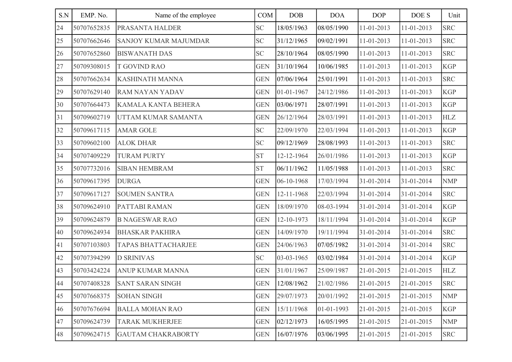| S.N | EMP. No.    | Name of the employee         | COM        | DOB        | <b>DOA</b> | <b>DOP</b> | DOE S      | Unit       |
|-----|-------------|------------------------------|------------|------------|------------|------------|------------|------------|
| 24  | 50707652835 | PRASANTA HALDER              | <b>SC</b>  | 18/05/1963 | 08/05/1990 | 11-01-2013 | 11-01-2013 | <b>SRC</b> |
| 25  | 50707662646 | <b>SANJOY KUMAR MAJUMDAR</b> | <b>SC</b>  | 31/12/1965 | 09/02/1991 | 11-01-2013 | 11-01-2013 | <b>SRC</b> |
| 26  | 50707652860 | <b>BISWANATH DAS</b>         | SC         | 28/10/1964 | 08/05/1990 | 11-01-2013 | 11-01-2013 | <b>SRC</b> |
| 27  | 50709308015 | T GOVIND RAO                 | <b>GEN</b> | 31/10/1964 | 10/06/1985 | 11-01-2013 | 11-01-2013 | <b>KGP</b> |
| 28  | 50707662634 | KASHINATH MANNA              | <b>GEN</b> | 07/06/1964 | 25/01/1991 | 11-01-2013 | 11-01-2013 | <b>SRC</b> |
| 29  | 50707629140 | <b>RAM NAYAN YADAV</b>       | <b>GEN</b> | 01-01-1967 | 24/12/1986 | 11-01-2013 | 11-01-2013 | <b>KGP</b> |
| 30  | 50707664473 | KAMALA KANTA BEHERA          | <b>GEN</b> | 03/06/1971 | 28/07/1991 | 11-01-2013 | 11-01-2013 | <b>KGP</b> |
| 31  | 50709602719 | UTTAM KUMAR SAMANTA          | <b>GEN</b> | 26/12/1964 | 28/03/1991 | 11-01-2013 | 11-01-2013 | <b>HLZ</b> |
| 32  | 50709617115 | <b>AMAR GOLE</b>             | <b>SC</b>  | 22/09/1970 | 22/03/1994 | 11-01-2013 | 11-01-2013 | <b>KGP</b> |
| 33  | 50709602100 | <b>ALOK DHAR</b>             | <b>SC</b>  | 09/12/1969 | 28/08/1993 | 11-01-2013 | 11-01-2013 | <b>SRC</b> |
| 34  | 50707409229 | <b>TURAM PURTY</b>           | <b>ST</b>  | 12-12-1964 | 26/01/1986 | 11-01-2013 | 11-01-2013 | <b>KGP</b> |
| 35  | 50707732016 | <b>SIBAN HEMBRAM</b>         | <b>ST</b>  | 06/11/1962 | 11/05/1988 | 11-01-2013 | 11-01-2013 | <b>SRC</b> |
| 36  | 50709617395 | <b>DURGA</b>                 | <b>GEN</b> | 06-10-1968 | 17/03/1994 | 31-01-2014 | 31-01-2014 | <b>NMP</b> |
| 37  | 50709617127 | <b>SOUMEN SANTRA</b>         | <b>GEN</b> | 12-11-1968 | 22/03/1994 | 31-01-2014 | 31-01-2014 | <b>SRC</b> |
| 38  | 50709624910 | PATTABI RAMAN                | <b>GEN</b> | 18/09/1970 | 08-03-1994 | 31-01-2014 | 31-01-2014 | <b>KGP</b> |
| 39  | 50709624879 | <b>B NAGESWAR RAO</b>        | <b>GEN</b> | 12-10-1973 | 18/11/1994 | 31-01-2014 | 31-01-2014 | <b>KGP</b> |
| 40  | 50709624934 | <b>BHASKAR PAKHIRA</b>       | <b>GEN</b> | 14/09/1970 | 19/11/1994 | 31-01-2014 | 31-01-2014 | <b>SRC</b> |
| 41  | 50707103803 | <b>TAPAS BHATTACHARJEE</b>   | <b>GEN</b> | 24/06/1963 | 07/05/1982 | 31-01-2014 | 31-01-2014 | <b>SRC</b> |
| 42  | 50707394299 | <b>D SRINIVAS</b>            | SC         | 03-03-1965 | 03/02/1984 | 31-01-2014 | 31-01-2014 | <b>KGP</b> |
| 43  | 50703424224 | <b>ANUP KUMAR MANNA</b>      | <b>GEN</b> | 31/01/1967 | 25/09/1987 | 21-01-2015 | 21-01-2015 | <b>HLZ</b> |
| 44  | 50707408328 | <b>SANT SARAN SINGH</b>      | <b>GEN</b> | 12/08/1962 | 21/02/1986 | 21-01-2015 | 21-01-2015 | <b>SRC</b> |
| 45  | 50707668375 | <b>SOHAN SINGH</b>           | <b>GEN</b> | 29/07/1973 | 20/01/1992 | 21-01-2015 | 21-01-2015 | <b>NMP</b> |
| 46  | 50707676694 | <b>BALLA MOHAN RAO</b>       | <b>GEN</b> | 15/11/1968 | 01-01-1993 | 21-01-2015 | 21-01-2015 | <b>KGP</b> |
| 47  | 50709624739 | <b>TARAK MUKHERJEE</b>       | <b>GEN</b> | 02/12/1973 | 16/05/1995 | 21-01-2015 | 21-01-2015 | <b>NMP</b> |
| 48  | 50709624715 | <b>GAUTAM CHAKRABORTY</b>    | <b>GEN</b> | 16/07/1976 | 03/06/1995 | 21-01-2015 | 21-01-2015 | <b>SRC</b> |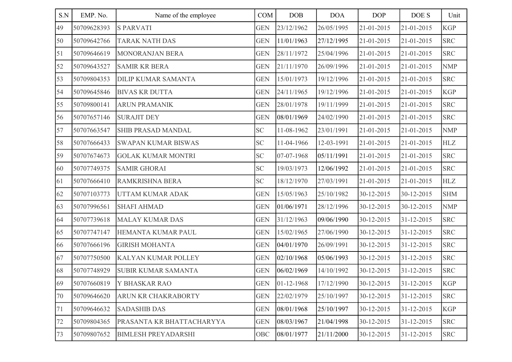| S.N | EMP. No.    | Name of the employee       | COM        | DOB        | <b>DOA</b> | <b>DOP</b> | DOE S      | Unit       |
|-----|-------------|----------------------------|------------|------------|------------|------------|------------|------------|
| 49  | 50709628393 | <b>S PARVATI</b>           | <b>GEN</b> | 23/12/1962 | 26/05/1995 | 21-01-2015 | 21-01-2015 | <b>KGP</b> |
| 50  | 50709642766 | <b>TARAK NATH DAS</b>      | <b>GEN</b> | 11/01/1963 | 27/12/1995 | 21-01-2015 | 21-01-2015 | <b>SRC</b> |
| 51  | 50709646619 | <b>MONORANJAN BERA</b>     | <b>GEN</b> | 28/11/1972 | 25/04/1996 | 21-01-2015 | 21-01-2015 | <b>SRC</b> |
| 52  | 50709643527 | <b>SAMIR KR BERA</b>       | <b>GEN</b> | 21/11/1970 | 26/09/1996 | 21-01-2015 | 21-01-2015 | <b>NMP</b> |
| 53  | 50709804353 | <b>DILIP KUMAR SAMANTA</b> | <b>GEN</b> | 15/01/1973 | 19/12/1996 | 21-01-2015 | 21-01-2015 | <b>SRC</b> |
| 54  | 50709645846 | <b>BIVAS KR DUTTA</b>      | <b>GEN</b> | 24/11/1965 | 19/12/1996 | 21-01-2015 | 21-01-2015 | <b>KGP</b> |
| 55  | 50709800141 | <b>ARUN PRAMANIK</b>       | <b>GEN</b> | 28/01/1978 | 19/11/1999 | 21-01-2015 | 21-01-2015 | <b>SRC</b> |
| 56  | 50707657146 | <b>SURAJIT DEY</b>         | <b>GEN</b> | 08/01/1969 | 24/02/1990 | 21-01-2015 | 21-01-2015 | <b>SRC</b> |
| 57  | 50707663547 | SHIB PRASAD MANDAL         | <b>SC</b>  | 11-08-1962 | 23/01/1991 | 21-01-2015 | 21-01-2015 | <b>NMP</b> |
| 58  | 50707666433 | <b>SWAPAN KUMAR BISWAS</b> | SC         | 11-04-1966 | 12-03-1991 | 21-01-2015 | 21-01-2015 | <b>HLZ</b> |
| 59  | 50707674673 | <b>GOLAK KUMAR MONTRI</b>  | SC         | 07-07-1968 | 05/11/1991 | 21-01-2015 | 21-01-2015 | <b>SRC</b> |
| 60  | 50707749375 | <b>SAMIR GHORAI</b>        | SC         | 19/03/1973 | 12/06/1992 | 21-01-2015 | 21-01-2015 | <b>SRC</b> |
| 61  | 50707666410 | RAMKRISHNA BERA            | <b>SC</b>  | 18/12/1970 | 27/03/1991 | 21-01-2015 | 21-01-2015 | <b>HLZ</b> |
| 62  | 50707103773 | UTTAM KUMAR ADAK           | <b>GEN</b> | 15/05/1963 | 25/10/1982 | 30-12-2015 | 30-12-2015 | <b>SHM</b> |
| 63  | 50707996561 | <b>SHAFI AHMAD</b>         | <b>GEN</b> | 01/06/1971 | 28/12/1996 | 30-12-2015 | 30-12-2015 | <b>NMP</b> |
| 64  | 50707739618 | <b>MALAY KUMAR DAS</b>     | <b>GEN</b> | 31/12/1963 | 09/06/1990 | 30-12-2015 | 31-12-2015 | <b>SRC</b> |
| 65  | 50707747147 | HEMANTA KUMAR PAUL         | <b>GEN</b> | 15/02/1965 | 27/06/1990 | 30-12-2015 | 31-12-2015 | <b>SRC</b> |
| 66  | 50707666196 | <b>GIRISH MOHANTA</b>      | <b>GEN</b> | 04/01/1970 | 26/09/1991 | 30-12-2015 | 31-12-2015 | <b>SRC</b> |
| 67  | 50707750500 | KALYAN KUMAR POLLEY        | <b>GEN</b> | 02/10/1968 | 05/06/1993 | 30-12-2015 | 31-12-2015 | <b>SRC</b> |
| 68  | 50707748929 | SUBIR KUMAR SAMANTA        | <b>GEN</b> | 06/02/1969 | 14/10/1992 | 30-12-2015 | 31-12-2015 | <b>SRC</b> |
| 69  | 50707660819 | Y BHASKAR RAO              | <b>GEN</b> | 01-12-1968 | 17/12/1990 | 30-12-2015 | 31-12-2015 | KGP        |
| 70  | 50709646620 | ARUN KR CHAKRABORTY        | <b>GEN</b> | 22/02/1979 | 25/10/1997 | 30-12-2015 | 31-12-2015 | <b>SRC</b> |
| 71  | 50709646632 | <b>SADASHIB DAS</b>        | <b>GEN</b> | 08/01/1968 | 25/10/1997 | 30-12-2015 | 31-12-2015 | <b>KGP</b> |
| 72  | 50709804365 | PRASANTA KR BHATTACHARYYA  | <b>GEN</b> | 08/03/1967 | 21/04/1998 | 30-12-2015 | 31-12-2015 | <b>SRC</b> |
| 73  | 50709807652 | <b>BIMLESH PREYADARSHI</b> | <b>OBC</b> | 08/01/1977 | 21/11/2000 | 30-12-2015 | 31-12-2015 | <b>SRC</b> |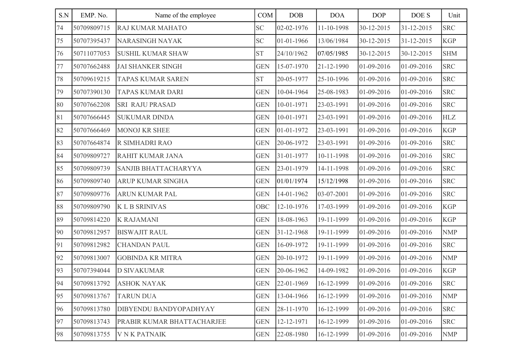| S.N | EMP. No.    | Name of the employee        | COM        | DOB        | <b>DOA</b> | <b>DOP</b> | DOE S      | Unit       |
|-----|-------------|-----------------------------|------------|------------|------------|------------|------------|------------|
| 74  | 50709809715 | RAJ KUMAR MAHATO            | <b>SC</b>  | 02-02-1976 | 11-10-1998 | 30-12-2015 | 31-12-2015 | <b>SRC</b> |
| 75  | 50707395437 | <b>NARASINGH NAYAK</b>      | <b>SC</b>  | 01-01-1966 | 13/06/1984 | 30-12-2015 | 31-12-2015 | <b>KGP</b> |
| 76  | 50711077053 | <b>SUSHIL KUMAR SHAW</b>    | <b>ST</b>  | 24/10/1962 | 07/05/1985 | 30-12-2015 | 30-12-2015 | <b>SHM</b> |
| 77  | 50707662488 | <b>JAI SHANKER SINGH</b>    | <b>GEN</b> | 15-07-1970 | 21-12-1990 | 01-09-2016 | 01-09-2016 | <b>SRC</b> |
| 78  | 50709619215 | <b>TAPAS KUMAR SAREN</b>    | <b>ST</b>  | 20-05-1977 | 25-10-1996 | 01-09-2016 | 01-09-2016 | <b>SRC</b> |
| 79  | 50707390130 | <b>TAPAS KUMAR DARI</b>     | <b>GEN</b> | 10-04-1964 | 25-08-1983 | 01-09-2016 | 01-09-2016 | <b>SRC</b> |
| 80  | 50707662208 | <b>SRI RAJU PRASAD</b>      | <b>GEN</b> | 10-01-1971 | 23-03-1991 | 01-09-2016 | 01-09-2016 | <b>SRC</b> |
| 81  | 50707666445 | <b>SUKUMAR DINDA</b>        | <b>GEN</b> | 10-01-1971 | 23-03-1991 | 01-09-2016 | 01-09-2016 | <b>HLZ</b> |
| 82  | 50707666469 | <b>MONOJ KR SHEE</b>        | <b>GEN</b> | 01-01-1972 | 23-03-1991 | 01-09-2016 | 01-09-2016 | <b>KGP</b> |
| 83  | 50707664874 | R SIMHADRI RAO              | <b>GEN</b> | 20-06-1972 | 23-03-1991 | 01-09-2016 | 01-09-2016 | <b>SRC</b> |
| 84  | 50709809727 | RAHIT KUMAR JANA            | <b>GEN</b> | 31-01-1977 | 10-11-1998 | 01-09-2016 | 01-09-2016 | <b>SRC</b> |
| 85  | 50709809739 | <b>SANJIB BHATTACHARYYA</b> | <b>GEN</b> | 23-01-1979 | 14-11-1998 | 01-09-2016 | 01-09-2016 | <b>SRC</b> |
| 86  | 50709809740 | <b>ARUP KUMAR SINGHA</b>    | <b>GEN</b> | 01/01/1974 | 15/12/1998 | 01-09-2016 | 01-09-2016 | <b>SRC</b> |
| 87  | 50709809776 | <b>ARUN KUMAR PAL</b>       | <b>GEN</b> | 14-01-1962 | 03-07-2001 | 01-09-2016 | 01-09-2016 | <b>SRC</b> |
| 88  | 50709809790 | <b>KLB SRINIVAS</b>         | OBC        | 12-10-1976 | 17-03-1999 | 01-09-2016 | 01-09-2016 | <b>KGP</b> |
| 89  | 50709814220 | <b>K RAJAMANI</b>           | <b>GEN</b> | 18-08-1963 | 19-11-1999 | 01-09-2016 | 01-09-2016 | <b>KGP</b> |
| 90  | 50709812957 | <b>BISWAJIT RAUL</b>        | <b>GEN</b> | 31-12-1968 | 19-11-1999 | 01-09-2016 | 01-09-2016 | <b>NMP</b> |
| 91  | 50709812982 | <b>CHANDAN PAUL</b>         | <b>GEN</b> | 16-09-1972 | 19-11-1999 | 01-09-2016 | 01-09-2016 | <b>SRC</b> |
| 92  | 50709813007 | <b>GOBINDA KR MITRA</b>     | <b>GEN</b> | 20-10-1972 | 19-11-1999 | 01-09-2016 | 01-09-2016 | <b>NMP</b> |
| 93  | 50707394044 | <b>D SIVAKUMAR</b>          | <b>GEN</b> | 20-06-1962 | 14-09-1982 | 01-09-2016 | 01-09-2016 | <b>KGP</b> |
| 94  | 50709813792 | <b>ASHOK NAYAK</b>          | <b>GEN</b> | 22-01-1969 | 16-12-1999 | 01-09-2016 | 01-09-2016 | <b>SRC</b> |
| 95  | 50709813767 | <b>TARUN DUA</b>            | <b>GEN</b> | 13-04-1966 | 16-12-1999 | 01-09-2016 | 01-09-2016 | <b>NMP</b> |
| 96  | 50709813780 | DIBYENDU BANDYOPADHYAY      | <b>GEN</b> | 28-11-1970 | 16-12-1999 | 01-09-2016 | 01-09-2016 | <b>SRC</b> |
| 97  | 50709813743 | PRABIR KUMAR BHATTACHARJEE  | <b>GEN</b> | 12-12-1971 | 16-12-1999 | 01-09-2016 | 01-09-2016 | <b>SRC</b> |
| 98  | 50709813755 | <b>VNK PATNAIK</b>          | <b>GEN</b> | 22-08-1980 | 16-12-1999 | 01-09-2016 | 01-09-2016 | <b>NMP</b> |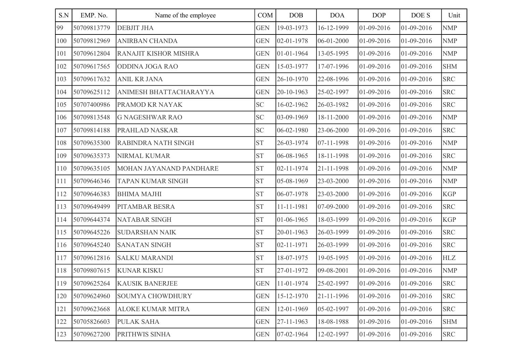| S.N | EMP. No.    | Name of the employee     | COM        | DOB              | <b>DOA</b> | <b>DOP</b> | DOE S      | Unit       |
|-----|-------------|--------------------------|------------|------------------|------------|------------|------------|------------|
| 99  | 50709813779 | <b>DEBJIT JHA</b>        | <b>GEN</b> | 19-03-1973       | 16-12-1999 | 01-09-2016 | 01-09-2016 | <b>NMP</b> |
| 100 | 50709812969 | <b>ANIRBAN CHANDA</b>    | <b>GEN</b> | $02 - 01 - 1978$ | 06-01-2000 | 01-09-2016 | 01-09-2016 | <b>NMP</b> |
| 101 | 50709612804 | RANAJIT KISHOR MISHRA    | <b>GEN</b> | 01-01-1964       | 13-05-1995 | 01-09-2016 | 01-09-2016 | <b>NMP</b> |
| 102 | 50709617565 | <b>ODDINA JOGA RAO</b>   | <b>GEN</b> | 15-03-1977       | 17-07-1996 | 01-09-2016 | 01-09-2016 | <b>SHM</b> |
| 103 | 50709617632 | <b>ANIL KR JANA</b>      | <b>GEN</b> | 26-10-1970       | 22-08-1996 | 01-09-2016 | 01-09-2016 | <b>SRC</b> |
| 104 | 50709625112 | ANIMESH BHATTACHARAYYA   | <b>GEN</b> | 20-10-1963       | 25-02-1997 | 01-09-2016 | 01-09-2016 | <b>SRC</b> |
| 105 | 50707400986 | PRAMOD KR NAYAK          | <b>SC</b>  | 16-02-1962       | 26-03-1982 | 01-09-2016 | 01-09-2016 | <b>SRC</b> |
| 106 | 50709813548 | <b>G NAGESHWAR RAO</b>   | <b>SC</b>  | 03-09-1969       | 18-11-2000 | 01-09-2016 | 01-09-2016 | <b>NMP</b> |
| 107 | 50709814188 | PRAHLAD NASKAR           | <b>SC</b>  | 06-02-1980       | 23-06-2000 | 01-09-2016 | 01-09-2016 | <b>SRC</b> |
| 108 | 50709635300 | RABINDRA NATH SINGH      | <b>ST</b>  | 26-03-1974       | 07-11-1998 | 01-09-2016 | 01-09-2016 | <b>NMP</b> |
| 109 | 50709635373 | <b>NIRMAL KUMAR</b>      | <b>ST</b>  | 06-08-1965       | 18-11-1998 | 01-09-2016 | 01-09-2016 | <b>SRC</b> |
| 110 | 50709635105 | MOHAN JAYANAND PANDHARE  | <b>ST</b>  | 02-11-1974       | 21-11-1998 | 01-09-2016 | 01-09-2016 | <b>NMP</b> |
| 111 | 50709646346 | <b>TAPAN KUMAR SINGH</b> | <b>ST</b>  | 05-08-1969       | 23-03-2000 | 01-09-2016 | 01-09-2016 | <b>NMP</b> |
| 112 | 50709646383 | <b>BHIMA MAJHI</b>       | <b>ST</b>  | 06-07-1978       | 23-03-2000 | 01-09-2016 | 01-09-2016 | <b>KGP</b> |
| 113 | 50709649499 | PITAMBAR BESRA           | <b>ST</b>  | 11-11-1981       | 07-09-2000 | 01-09-2016 | 01-09-2016 | <b>SRC</b> |
| 114 | 50709644374 | <b>NATABAR SINGH</b>     | <b>ST</b>  | 01-06-1965       | 18-03-1999 | 01-09-2016 | 01-09-2016 | <b>KGP</b> |
| 115 | 50709645226 | <b>SUDARSHAN NAIK</b>    | <b>ST</b>  | 20-01-1963       | 26-03-1999 | 01-09-2016 | 01-09-2016 | <b>SRC</b> |
| 116 | 50709645240 | <b>SANATAN SINGH</b>     | <b>ST</b>  | 02-11-1971       | 26-03-1999 | 01-09-2016 | 01-09-2016 | <b>SRC</b> |
| 117 | 50709612816 | <b>SALKU MARANDI</b>     | <b>ST</b>  | 18-07-1975       | 19-05-1995 | 01-09-2016 | 01-09-2016 | <b>HLZ</b> |
| 118 | 50709807615 | <b>KUNAR KISKU</b>       | <b>ST</b>  | 27-01-1972       | 09-08-2001 | 01-09-2016 | 01-09-2016 | <b>NMP</b> |
| 119 | 50709625264 | <b>KAUSIK BANERJEE</b>   | <b>GEN</b> | 11-01-1974       | 25-02-1997 | 01-09-2016 | 01-09-2016 | <b>SRC</b> |
| 120 | 50709624960 | <b>SOUMYA CHOWDHURY</b>  | <b>GEN</b> | 15-12-1970       | 21-11-1996 | 01-09-2016 | 01-09-2016 | <b>SRC</b> |
| 121 | 50709623668 | <b>ALOKE KUMAR MITRA</b> | <b>GEN</b> | 12-01-1969       | 05-02-1997 | 01-09-2016 | 01-09-2016 | <b>SRC</b> |
| 122 | 50705826603 | <b>PULAK SAHA</b>        | <b>GEN</b> | 27-11-1963       | 18-08-1988 | 01-09-2016 | 01-09-2016 | <b>SHM</b> |
| 123 | 50709627200 | PRITHWIS SINHA           | <b>GEN</b> | 07-02-1964       | 12-02-1997 | 01-09-2016 | 01-09-2016 | <b>SRC</b> |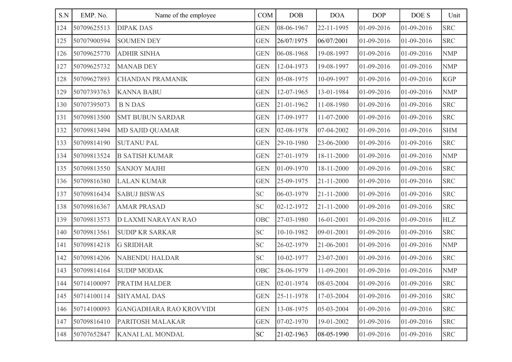| S.N | EMP. No.    | Name of the employee           | COM        | DOB              | <b>DOA</b> | <b>DOP</b> | DOE S      | Unit       |
|-----|-------------|--------------------------------|------------|------------------|------------|------------|------------|------------|
| 124 | 50709625513 | <b>DIPAK DAS</b>               | <b>GEN</b> | 08-06-1967       | 22-11-1995 | 01-09-2016 | 01-09-2016 | <b>SRC</b> |
| 125 | 50707900594 | <b>SOUMEN DEY</b>              | <b>GEN</b> | 26/07/1975       | 06/07/2001 | 01-09-2016 | 01-09-2016 | <b>SRC</b> |
| 126 | 50709625770 | <b>ADHIR SINHA</b>             | <b>GEN</b> | 06-08-1968       | 19-08-1997 | 01-09-2016 | 01-09-2016 | <b>NMP</b> |
| 127 | 50709625732 | <b>MANAB DEY</b>               | <b>GEN</b> | 12-04-1973       | 19-08-1997 | 01-09-2016 | 01-09-2016 | <b>NMP</b> |
| 128 | 50709627893 | <b>CHANDAN PRAMANIK</b>        | <b>GEN</b> | 05-08-1975       | 10-09-1997 | 01-09-2016 | 01-09-2016 | <b>KGP</b> |
| 129 | 50707393763 | <b>KANNA BABU</b>              | <b>GEN</b> | 12-07-1965       | 13-01-1984 | 01-09-2016 | 01-09-2016 | <b>NMP</b> |
| 130 | 50707395073 | <b>BNDAS</b>                   | <b>GEN</b> | 21-01-1962       | 11-08-1980 | 01-09-2016 | 01-09-2016 | <b>SRC</b> |
| 131 | 50709813500 | <b>SMT BUBUN SARDAR</b>        | <b>GEN</b> | 17-09-1977       | 11-07-2000 | 01-09-2016 | 01-09-2016 | <b>SRC</b> |
| 132 | 50709813494 | <b>MD SAJID QUAMAR</b>         | <b>GEN</b> | 02-08-1978       | 07-04-2002 | 01-09-2016 | 01-09-2016 | <b>SHM</b> |
| 133 | 50709814190 | <b>SUTANU PAL</b>              | <b>GEN</b> | 29-10-1980       | 23-06-2000 | 01-09-2016 | 01-09-2016 | <b>SRC</b> |
| 134 | 50709813524 | <b>B SATISH KUMAR</b>          | <b>GEN</b> | 27-01-1979       | 18-11-2000 | 01-09-2016 | 01-09-2016 | <b>NMP</b> |
| 135 | 50709813550 | <b>SANJOY MAJHI</b>            | <b>GEN</b> | 01-09-1970       | 18-11-2000 | 01-09-2016 | 01-09-2016 | <b>SRC</b> |
| 136 | 50709816380 | <b>LALAN KUMAR</b>             | <b>GEN</b> | 25-09-1975       | 21-11-2000 | 01-09-2016 | 01-09-2016 | <b>SRC</b> |
| 137 | 50709816434 | <b>SABUJ BISWAS</b>            | SC         | 06-03-1979       | 21-11-2000 | 01-09-2016 | 01-09-2016 | <b>SRC</b> |
| 138 | 50709816367 | <b>AMAR PRASAD</b>             | <b>SC</b>  | 02-12-1972       | 21-11-2000 | 01-09-2016 | 01-09-2016 | <b>SRC</b> |
| 139 | 50709813573 | D LAXMI NARAYAN RAO            | <b>OBC</b> | 27-03-1980       | 16-01-2001 | 01-09-2016 | 01-09-2016 | <b>HLZ</b> |
| 140 | 50709813561 | <b>SUDIP KR SARKAR</b>         | <b>SC</b>  | 10-10-1982       | 09-01-2001 | 01-09-2016 | 01-09-2016 | <b>SRC</b> |
| 141 | 50709814218 | <b>G SRIDHAR</b>               | <b>SC</b>  | 26-02-1979       | 21-06-2001 | 01-09-2016 | 01-09-2016 | <b>NMP</b> |
| 142 | 50709814206 | <b>NABENDU HALDAR</b>          | <b>SC</b>  | 10-02-1977       | 23-07-2001 | 01-09-2016 | 01-09-2016 | <b>SRC</b> |
| 143 | 50709814164 | <b>SUDIP MODAK</b>             | <b>OBC</b> | 28-06-1979       | 11-09-2001 | 01-09-2016 | 01-09-2016 | <b>NMP</b> |
| 144 | 50714100097 | <b>PRATIM HALDER</b>           | <b>GEN</b> | $02 - 01 - 1974$ | 08-03-2004 | 01-09-2016 | 01-09-2016 | <b>SRC</b> |
| 145 | 50714100114 | <b>SHYAMAL DAS</b>             | <b>GEN</b> | 25-11-1978       | 17-03-2004 | 01-09-2016 | 01-09-2016 | <b>SRC</b> |
| 146 | 50714100093 | <b>GANGADHARA RAO KROVVIDI</b> | <b>GEN</b> | 13-08-1975       | 05-03-2004 | 01-09-2016 | 01-09-2016 | <b>SRC</b> |
| 147 | 50709816410 | PARITOSH MALAKAR               | <b>GEN</b> | 07-02-1970       | 19-01-2002 | 01-09-2016 | 01-09-2016 | <b>SRC</b> |
| 148 | 50707652847 | <b>KANAI LAL MONDAL</b>        | <b>SC</b>  | 21-02-1963       | 08-05-1990 | 01-09-2016 | 01-09-2016 | <b>SRC</b> |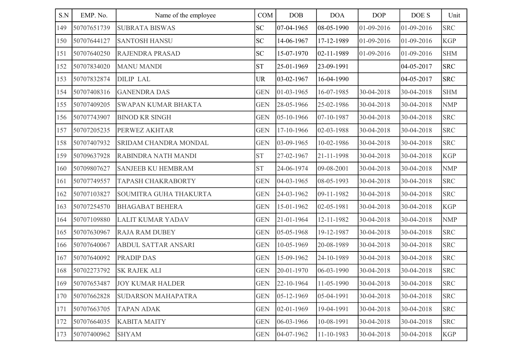| S.N | EMP. No.    | Name of the employee       | COM        | <b>DOB</b> | <b>DOA</b> | <b>DOP</b> | DOE S      | Unit       |
|-----|-------------|----------------------------|------------|------------|------------|------------|------------|------------|
| 149 | 50707651739 | <b>SUBRATA BISWAS</b>      | <b>SC</b>  | 07-04-1965 | 08-05-1990 | 01-09-2016 | 01-09-2016 | <b>SRC</b> |
| 150 | 50707644127 | <b>SANTOSH HANSU</b>       | <b>SC</b>  | 14-06-1967 | 17-12-1989 | 01-09-2016 | 01-09-2016 | <b>KGP</b> |
| 151 | 50707640250 | <b>RAJENDRA PRASAD</b>     | <b>SC</b>  | 15-07-1970 | 02-11-1989 | 01-09-2016 | 01-09-2016 | <b>SHM</b> |
| 152 | 50707834020 | <b>MANU MANDI</b>          | <b>ST</b>  | 25-01-1969 | 23-09-1991 |            | 04-05-2017 | <b>SRC</b> |
| 153 | 50707832874 | <b>DILIP LAL</b>           | UR         | 03-02-1967 | 16-04-1990 |            | 04-05-2017 | <b>SRC</b> |
| 154 | 50707408316 | <b>GANENDRA DAS</b>        | <b>GEN</b> | 01-03-1965 | 16-07-1985 | 30-04-2018 | 30-04-2018 | <b>SHM</b> |
| 155 | 50707409205 | <b>SWAPAN KUMAR BHAKTA</b> | <b>GEN</b> | 28-05-1966 | 25-02-1986 | 30-04-2018 | 30-04-2018 | <b>NMP</b> |
| 156 | 50707743907 | <b>BINOD KR SINGH</b>      | <b>GEN</b> | 05-10-1966 | 07-10-1987 | 30-04-2018 | 30-04-2018 | <b>SRC</b> |
| 157 | 50707205235 | PERWEZ AKHTAR              | <b>GEN</b> | 17-10-1966 | 02-03-1988 | 30-04-2018 | 30-04-2018 | <b>SRC</b> |
| 158 | 50707407932 | SRIDAM CHANDRA MONDAL      | <b>GEN</b> | 03-09-1965 | 10-02-1986 | 30-04-2018 | 30-04-2018 | <b>SRC</b> |
| 159 | 50709637928 | RABINDRA NATH MANDI        | <b>ST</b>  | 27-02-1967 | 21-11-1998 | 30-04-2018 | 30-04-2018 | <b>KGP</b> |
| 160 | 50709807627 | <b>SANJEEB KU HEMBRAM</b>  | <b>ST</b>  | 24-06-1974 | 09-08-2001 | 30-04-2018 | 30-04-2018 | <b>NMP</b> |
| 161 | 50707749557 | <b>TAPASH CHAKRABORTY</b>  | <b>GEN</b> | 04-03-1965 | 08-05-1993 | 30-04-2018 | 30-04-2018 | <b>SRC</b> |
| 162 | 50707103827 | SOUMITRA GUHA THAKURTA     | <b>GEN</b> | 24-03-1962 | 09-11-1982 | 30-04-2018 | 30-04-2018 | <b>SRC</b> |
| 163 | 50707254570 | <b>BHAGABAT BEHERA</b>     | <b>GEN</b> | 15-01-1962 | 02-05-1981 | 30-04-2018 | 30-04-2018 | <b>KGP</b> |
| 164 | 50707109880 | <b>LALIT KUMAR YADAV</b>   | <b>GEN</b> | 21-01-1964 | 12-11-1982 | 30-04-2018 | 30-04-2018 | <b>NMP</b> |
| 165 | 50707630967 | <b>RAJA RAM DUBEY</b>      | <b>GEN</b> | 05-05-1968 | 19-12-1987 | 30-04-2018 | 30-04-2018 | <b>SRC</b> |
| 166 | 50707640067 | <b>ABDUL SATTAR ANSARI</b> | <b>GEN</b> | 10-05-1969 | 20-08-1989 | 30-04-2018 | 30-04-2018 | <b>SRC</b> |
| 167 | 50707640092 | <b>PRADIP DAS</b>          | <b>GEN</b> | 15-09-1962 | 24-10-1989 | 30-04-2018 | 30-04-2018 | <b>SRC</b> |
| 168 | 50702273792 | <b>SK RAJEK ALI</b>        | <b>GEN</b> | 20-01-1970 | 06-03-1990 | 30-04-2018 | 30-04-2018 | <b>SRC</b> |
| 169 | 50707653487 | <b>JOY KUMAR HALDER</b>    | <b>GEN</b> | 22-10-1964 | 11-05-1990 | 30-04-2018 | 30-04-2018 | <b>SRC</b> |
| 170 | 50707662828 | <b>SUDARSON MAHAPATRA</b>  | <b>GEN</b> | 05-12-1969 | 05-04-1991 | 30-04-2018 | 30-04-2018 | <b>SRC</b> |
| 171 | 50707663705 | <b>TAPAN ADAK</b>          | <b>GEN</b> | 02-01-1969 | 19-04-1991 | 30-04-2018 | 30-04-2018 | <b>SRC</b> |
| 172 | 50707664035 | <b>KABITA MAITY</b>        | <b>GEN</b> | 06-03-1966 | 10-08-1991 | 30-04-2018 | 30-04-2018 | <b>SRC</b> |
| 173 | 50707400962 | <b>SHYAM</b>               | <b>GEN</b> | 04-07-1962 | 11-10-1983 | 30-04-2018 | 30-04-2018 | <b>KGP</b> |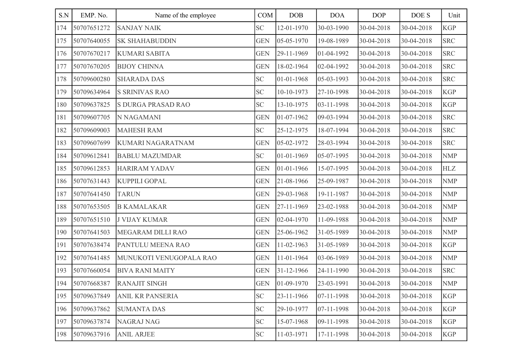| S.N | EMP. No.    | Name of the employee     | COM        | DOB          | <b>DOA</b> | <b>DOP</b> | DOE S      | Unit       |
|-----|-------------|--------------------------|------------|--------------|------------|------------|------------|------------|
| 174 | 50707651272 | <b>SANJAY NAIK</b>       | <b>SC</b>  | 12-01-1970   | 30-03-1990 | 30-04-2018 | 30-04-2018 | <b>KGP</b> |
| 175 | 50707640055 | <b>SK SHAHABUDDIN</b>    | <b>GEN</b> | 05-05-1970   | 19-08-1989 | 30-04-2018 | 30-04-2018 | <b>SRC</b> |
| 176 | 50707670217 | <b>KUMARI SABITA</b>     | <b>GEN</b> | 29-11-1969   | 01-04-1992 | 30-04-2018 | 30-04-2018 | <b>SRC</b> |
| 177 | 50707670205 | <b>BIJOY CHINNA</b>      | <b>GEN</b> | 18-02-1964   | 02-04-1992 | 30-04-2018 | 30-04-2018 | <b>SRC</b> |
| 178 | 50709600280 | <b>SHARADA DAS</b>       | <b>SC</b>  | 01-01-1968   | 05-03-1993 | 30-04-2018 | 30-04-2018 | <b>SRC</b> |
| 179 | 50709634964 | <b>S SRINIVAS RAO</b>    | <b>SC</b>  | 10-10-1973   | 27-10-1998 | 30-04-2018 | 30-04-2018 | <b>KGP</b> |
| 180 | 50709637825 | S DURGA PRASAD RAO       | <b>SC</b>  | 13-10-1975   | 03-11-1998 | 30-04-2018 | 30-04-2018 | <b>KGP</b> |
| 181 | 50709607705 | N NAGAMANI               | <b>GEN</b> | 01-07-1962   | 09-03-1994 | 30-04-2018 | 30-04-2018 | <b>SRC</b> |
| 182 | 50709609003 | <b>MAHESH RAM</b>        | <b>SC</b>  | 25-12-1975   | 18-07-1994 | 30-04-2018 | 30-04-2018 | <b>SRC</b> |
| 183 | 50709607699 | <b>KUMARI NAGARATNAM</b> | <b>GEN</b> | 05-02-1972   | 28-03-1994 | 30-04-2018 | 30-04-2018 | <b>SRC</b> |
| 184 | 50709612841 | <b>BABLU MAZUMDAR</b>    | <b>SC</b>  | 01-01-1969   | 05-07-1995 | 30-04-2018 | 30-04-2018 | <b>NMP</b> |
| 185 | 50709612853 | <b>HARIRAM YADAV</b>     | <b>GEN</b> | 01-01-1966   | 15-07-1995 | 30-04-2018 | 30-04-2018 | <b>HLZ</b> |
| 186 | 50707631443 | <b>KUPPILI GOPAL</b>     | <b>GEN</b> | 21-08-1966   | 25-09-1987 | 30-04-2018 | 30-04-2018 | <b>NMP</b> |
| 187 | 50707641450 | <b>TARUN</b>             | <b>GEN</b> | 29-03-1968   | 19-11-1987 | 30-04-2018 | 30-04-2018 | <b>NMP</b> |
| 188 | 50707653505 | <b>B KAMALAKAR</b>       | <b>GEN</b> | 27-11-1969   | 23-02-1988 | 30-04-2018 | 30-04-2018 | <b>NMP</b> |
| 189 | 50707651510 | <b>J VIJAY KUMAR</b>     | <b>GEN</b> | 02-04-1970   | 11-09-1988 | 30-04-2018 | 30-04-2018 | <b>NMP</b> |
| 190 | 50707641503 | MEGARAM DILLI RAO        | <b>GEN</b> | 25-06-1962   | 31-05-1989 | 30-04-2018 | 30-04-2018 | <b>NMP</b> |
| 191 | 50707638474 | PANTULU MEENA RAO        | <b>GEN</b> | 11-02-1963   | 31-05-1989 | 30-04-2018 | 30-04-2018 | <b>KGP</b> |
| 192 | 50707641485 | MUNUKOTI VENUGOPALA RAO  | <b>GEN</b> | 11-01-1964   | 03-06-1989 | 30-04-2018 | 30-04-2018 | <b>NMP</b> |
| 193 | 50707660054 | <b>BIVA RANI MAITY</b>   | <b>GEN</b> | 31-12-1966   | 24-11-1990 | 30-04-2018 | 30-04-2018 | <b>SRC</b> |
| 194 | 50707668387 | <b>RANAJIT SINGH</b>     | <b>GEN</b> | $01-09-1970$ | 23-03-1991 | 30-04-2018 | 30-04-2018 | <b>NMP</b> |
| 195 | 50709637849 | ANIL KR PANSERIA         | <b>SC</b>  | 23-11-1966   | 07-11-1998 | 30-04-2018 | 30-04-2018 | <b>KGP</b> |
| 196 | 50709637862 | <b>SUMANTA DAS</b>       | <b>SC</b>  | 29-10-1977   | 07-11-1998 | 30-04-2018 | 30-04-2018 | <b>KGP</b> |
| 197 | 50709637874 | <b>NAGRAJ NAG</b>        | <b>SC</b>  | 15-07-1968   | 09-11-1998 | 30-04-2018 | 30-04-2018 | <b>KGP</b> |
| 198 | 50709637916 | <b>ANIL ARJEE</b>        | <b>SC</b>  | 11-03-1971   | 17-11-1998 | 30-04-2018 | 30-04-2018 | <b>KGP</b> |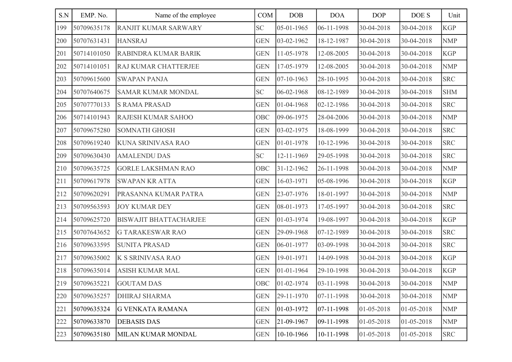| S.N | EMP. No.    | Name of the employee          | COM        | DOB        | <b>DOA</b>     | <b>DOP</b> | DOE S      | Unit       |
|-----|-------------|-------------------------------|------------|------------|----------------|------------|------------|------------|
| 199 | 50709635178 | <b>RANJIT KUMAR SARWARY</b>   | <b>SC</b>  | 05-01-1965 | 06-11-1998     | 30-04-2018 | 30-04-2018 | <b>KGP</b> |
| 200 | 50707631431 | <b>HANSRAJ</b>                | <b>GEN</b> | 03-02-1962 | 18-12-1987     | 30-04-2018 | 30-04-2018 | <b>NMP</b> |
| 201 | 50714101050 | RABINDRA KUMAR BARIK          | <b>GEN</b> | 11-05-1978 | 12-08-2005     | 30-04-2018 | 30-04-2018 | <b>KGP</b> |
| 202 | 50714101051 | RAJ KUMAR CHATTERJEE          | <b>GEN</b> | 17-05-1979 | 12-08-2005     | 30-04-2018 | 30-04-2018 | <b>NMP</b> |
| 203 | 50709615600 | <b>SWAPAN PANJA</b>           | <b>GEN</b> | 07-10-1963 | 28-10-1995     | 30-04-2018 | 30-04-2018 | <b>SRC</b> |
| 204 | 50707640675 | <b>SAMAR KUMAR MONDAL</b>     | SC         | 06-02-1968 | 08-12-1989     | 30-04-2018 | 30-04-2018 | <b>SHM</b> |
| 205 | 50707770133 | <b>S RAMA PRASAD</b>          | <b>GEN</b> | 01-04-1968 | 02-12-1986     | 30-04-2018 | 30-04-2018 | <b>SRC</b> |
| 206 | 50714101943 | <b>RAJESH KUMAR SAHOO</b>     | OBC        | 09-06-1975 | 28-04-2006     | 30-04-2018 | 30-04-2018 | <b>NMP</b> |
| 207 | 50709675280 | <b>SOMNATH GHOSH</b>          | <b>GEN</b> | 03-02-1975 | 18-08-1999     | 30-04-2018 | 30-04-2018 | <b>SRC</b> |
| 208 | 50709619240 | KUNA SRINIVASA RAO            | <b>GEN</b> | 01-01-1978 | 10-12-1996     | 30-04-2018 | 30-04-2018 | <b>SRC</b> |
| 209 | 50709630430 | <b>AMALENDU DAS</b>           | <b>SC</b>  | 12-11-1969 | 29-05-1998     | 30-04-2018 | 30-04-2018 | <b>SRC</b> |
| 210 | 50709635725 | <b>GORLE LAKSHMAN RAO</b>     | OBC        | 31-12-1962 | 26-11-1998     | 30-04-2018 | 30-04-2018 | <b>NMP</b> |
| 211 | 50709617978 | <b>SWAPAN KR ATTA</b>         | <b>GEN</b> | 16-03-1971 | 05-08-1996     | 30-04-2018 | 30-04-2018 | <b>KGP</b> |
| 212 | 50709620291 | PRASANNA KUMAR PATRA          | <b>GEN</b> | 23-07-1976 | 18-01-1997     | 30-04-2018 | 30-04-2018 | <b>NMP</b> |
| 213 | 50709563593 | <b>JOY KUMAR DEY</b>          | <b>GEN</b> | 08-01-1973 | 17-05-1997     | 30-04-2018 | 30-04-2018 | <b>SRC</b> |
| 214 | 50709625720 | <b>BISWAJIT BHATTACHARJEE</b> | <b>GEN</b> | 01-03-1974 | 19-08-1997     | 30-04-2018 | 30-04-2018 | <b>KGP</b> |
| 215 | 50707643652 | <b>G TARAKESWAR RAO</b>       | <b>GEN</b> | 29-09-1968 | 07-12-1989     | 30-04-2018 | 30-04-2018 | <b>SRC</b> |
| 216 | 50709633595 | <b>SUNITA PRASAD</b>          | <b>GEN</b> | 06-01-1977 | 03-09-1998     | 30-04-2018 | 30-04-2018 | <b>SRC</b> |
| 217 | 50709635002 | K S SRINIVASA RAO             | <b>GEN</b> | 19-01-1971 | 14-09-1998     | 30-04-2018 | 30-04-2018 | <b>KGP</b> |
| 218 | 50709635014 | <b>ASISH KUMAR MAL</b>        | <b>GEN</b> | 01-01-1964 | 29-10-1998     | 30-04-2018 | 30-04-2018 | <b>KGP</b> |
| 219 | 50709635221 | <b>GOUTAM DAS</b>             | <b>OBC</b> | 01-02-1974 | 03-11-1998     | 30-04-2018 | 30-04-2018 | <b>NMP</b> |
| 220 | 50709635257 | <b>DHIRAJ SHARMA</b>          | <b>GEN</b> | 29-11-1970 | 07-11-1998     | 30-04-2018 | 30-04-2018 | <b>NMP</b> |
| 221 | 50709635324 | <b>G VENKATA RAMANA</b>       | <b>GEN</b> | 01-03-1972 | $ 07-11-1998 $ | 01-05-2018 | 01-05-2018 | <b>NMP</b> |
| 222 | 50709633870 | <b>DEBASIS DAS</b>            | <b>GEN</b> | 21-09-1967 | 09-11-1998     | 01-05-2018 | 01-05-2018 | <b>NMP</b> |
| 223 | 50709635180 | MILAN KUMAR MONDAL            | <b>GEN</b> | 10-10-1966 | 10-11-1998     | 01-05-2018 | 01-05-2018 | <b>SRC</b> |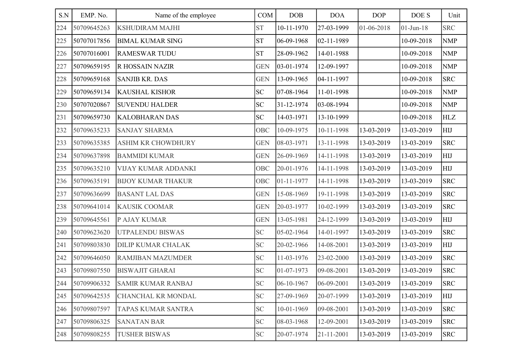| S.N | EMP. No.    | Name of the employee       | COM        | <b>DOB</b>       | <b>DOA</b> | <b>DOP</b> | DOE S           | Unit       |
|-----|-------------|----------------------------|------------|------------------|------------|------------|-----------------|------------|
| 224 | 50709645263 | <b>KSHUDIRAM MAJHI</b>     | <b>ST</b>  | 10-11-1970       | 27-03-1999 | 01-06-2018 | $01 - Jun - 18$ | <b>SRC</b> |
| 225 | 50707017856 | <b>BIMAL KUMAR SING</b>    | <b>ST</b>  | 06-09-1968       | 02-11-1989 |            | 10-09-2018      | <b>NMP</b> |
| 226 | 50707016001 | <b>RAMESWAR TUDU</b>       | <b>ST</b>  | 28-09-1962       | 14-01-1988 |            | 10-09-2018      | <b>NMP</b> |
| 227 | 50709659195 | <b>R HOSSAIN NAZIR</b>     | <b>GEN</b> | 03-01-1974       | 12-09-1997 |            | 10-09-2018      | <b>NMP</b> |
| 228 | 50709659168 | <b>SANJIB KR. DAS</b>      | <b>GEN</b> | 13-09-1965       | 04-11-1997 |            | 10-09-2018      | <b>SRC</b> |
| 229 | 50709659134 | <b>KAUSHAL KISHOR</b>      | SC         | 07-08-1964       | 11-01-1998 |            | 10-09-2018      | <b>NMP</b> |
| 230 | 50707020867 | <b>SUVENDU HALDER</b>      | <b>SC</b>  | 31-12-1974       | 03-08-1994 |            | 10-09-2018      | <b>NMP</b> |
| 231 | 50709659730 | <b>KALOBHARAN DAS</b>      | <b>SC</b>  | 14-03-1971       | 13-10-1999 |            | 10-09-2018      | HLZ        |
| 232 | 50709635233 | <b>SANJAY SHARMA</b>       | OBC        | 10-09-1975       | 10-11-1998 | 13-03-2019 | 13-03-2019      | <b>HIJ</b> |
| 233 | 50709635385 | <b>ASHIM KR CHOWDHURY</b>  | <b>GEN</b> | 08-03-1971       | 13-11-1998 | 13-03-2019 | 13-03-2019      | <b>SRC</b> |
| 234 | 50709637898 | <b>BAMMIDI KUMAR</b>       | <b>GEN</b> | 26-09-1969       | 14-11-1998 | 13-03-2019 | 13-03-2019      | <b>HIJ</b> |
| 235 | 50709635210 | <b>VIJAY KUMAR ADDANKI</b> | OBC        | 20-01-1976       | 14-11-1998 | 13-03-2019 | 13-03-2019      | <b>HIJ</b> |
| 236 | 50709635191 | <b>BIJOY KUMAR THAKUR</b>  | OBC        | $01 - 11 - 1977$ | 14-11-1998 | 13-03-2019 | 13-03-2019      | <b>SRC</b> |
| 237 | 50709636699 | <b>BASANT LAL DAS</b>      | <b>GEN</b> | 15-08-1969       | 19-11-1998 | 13-03-2019 | 13-03-2019      | <b>SRC</b> |
| 238 | 50709641014 | <b>KAUSIK COOMAR</b>       | <b>GEN</b> | 20-03-1977       | 10-02-1999 | 13-03-2019 | 13-03-2019      | <b>SRC</b> |
| 239 | 50709645561 | P AJAY KUMAR               | <b>GEN</b> | 13-05-1981       | 24-12-1999 | 13-03-2019 | 13-03-2019      | <b>HIJ</b> |
| 240 | 50709623620 | UTPALENDU BISWAS           | <b>SC</b>  | 05-02-1964       | 14-01-1997 | 13-03-2019 | 13-03-2019      | <b>SRC</b> |
| 241 | 50709803830 | <b>DILIP KUMAR CHALAK</b>  | <b>SC</b>  | 20-02-1966       | 14-08-2001 | 13-03-2019 | 13-03-2019      | <b>HIJ</b> |
| 242 | 50709646050 | <b>RAMJIBAN MAZUMDER</b>   | <b>SC</b>  | 11-03-1976       | 23-02-2000 | 13-03-2019 | 13-03-2019      | <b>SRC</b> |
| 243 | 50709807550 | <b>BISWAJIT GHARAI</b>     | <b>SC</b>  | 01-07-1973       | 09-08-2001 | 13-03-2019 | 13-03-2019      | <b>SRC</b> |
| 244 | 50709906332 | <b>SAMIR KUMAR RANBAJ</b>  | <b>SC</b>  | 06-10-1967       | 06-09-2001 | 13-03-2019 | 13-03-2019      | <b>SRC</b> |
| 245 | 50709642535 | <b>CHANCHAL KR MONDAL</b>  | <b>SC</b>  | 27-09-1969       | 20-07-1999 | 13-03-2019 | 13-03-2019      | HIJ        |
| 246 | 50709807597 | TAPAS KUMAR SANTRA         | <b>SC</b>  | 10-01-1969       | 09-08-2001 | 13-03-2019 | 13-03-2019      | <b>SRC</b> |
| 247 | 50709806325 | <b>SANATAN BAR</b>         | <b>SC</b>  | 08-03-1968       | 12-09-2001 | 13-03-2019 | 13-03-2019      | <b>SRC</b> |
| 248 | 50709808255 | <b>TUSHER BISWAS</b>       | <b>SC</b>  | 20-07-1974       | 21-11-2001 | 13-03-2019 | 13-03-2019      | <b>SRC</b> |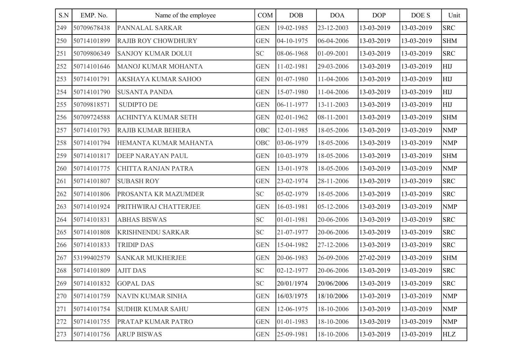| S.N | EMP. No.    | Name of the employee       | COM                        | <b>DOB</b> | <b>DOA</b> | <b>DOP</b> | DOE S      | Unit       |
|-----|-------------|----------------------------|----------------------------|------------|------------|------------|------------|------------|
| 249 | 50709678438 | PANNALAL SARKAR            | <b>GEN</b>                 | 19-02-1985 | 23-12-2003 | 13-03-2019 | 13-03-2019 | <b>SRC</b> |
| 250 | 50714101899 | <b>RAJIB ROY CHOWDHURY</b> | <b>GEN</b>                 | 04-10-1975 | 06-04-2006 | 13-03-2019 | 13-03-2019 | <b>SHM</b> |
| 251 | 50709806349 | <b>SANJOY KUMAR DOLUI</b>  | <b>SC</b>                  | 08-06-1968 | 01-09-2001 | 13-03-2019 | 13-03-2019 | <b>SRC</b> |
| 252 | 50714101646 | <b>MANOJ KUMAR MOHANTA</b> | <b>GEN</b>                 | 11-02-1981 | 29-03-2006 | 13-03-2019 | 13-03-2019 | HIJ        |
| 253 | 50714101791 | AKSHAYA KUMAR SAHOO        | <b>GEN</b>                 | 01-07-1980 | 11-04-2006 | 13-03-2019 | 13-03-2019 | HIJ        |
| 254 | 50714101790 | <b>SUSANTA PANDA</b>       | <b>GEN</b>                 | 15-07-1980 | 11-04-2006 | 13-03-2019 | 13-03-2019 | HIJ        |
| 255 | 50709818571 | <b>SUDIPTO DE</b>          | <b>GEN</b>                 | 06-11-1977 | 13-11-2003 | 13-03-2019 | 13-03-2019 | HIJ        |
| 256 | 50709724588 | <b>ACHINTYA KUMAR SETH</b> | <b>GEN</b>                 | 02-01-1962 | 08-11-2001 | 13-03-2019 | 13-03-2019 | <b>SHM</b> |
| 257 | 50714101793 | <b>RAJIB KUMAR BEHERA</b>  | OBC                        | 12-01-1985 | 18-05-2006 | 13-03-2019 | 13-03-2019 | <b>NMP</b> |
| 258 | 50714101794 | HEMANTA KUMAR MAHANTA      | OBC                        | 03-06-1979 | 18-05-2006 | 13-03-2019 | 13-03-2019 | <b>NMP</b> |
| 259 | 50714101817 | DEEP NARAYAN PAUL          | <b>GEN</b>                 | 10-03-1979 | 18-05-2006 | 13-03-2019 | 13-03-2019 | <b>SHM</b> |
| 260 | 50714101775 | CHITTA RANJAN PATRA        | <b>GEN</b>                 | 13-01-1978 | 18-05-2006 | 13-03-2019 | 13-03-2019 | <b>NMP</b> |
| 261 | 50714101807 | <b>SUBASH ROY</b>          | <b>GEN</b>                 | 23-02-1974 | 28-11-2006 | 13-03-2019 | 13-03-2019 | <b>SRC</b> |
| 262 | 50714101806 | PROSANTA KR MAZUMDER       | <b>SC</b>                  | 05-02-1979 | 18-05-2006 | 13-03-2019 | 13-03-2019 | <b>SRC</b> |
| 263 | 50714101924 | PRITHWIRAJ CHATTERJEE      | <b>GEN</b>                 | 16-03-1981 | 05-12-2006 | 13-03-2019 | 13-03-2019 | <b>NMP</b> |
| 264 | 50714101831 | <b>ABHAS BISWAS</b>        | <b>SC</b>                  | 01-01-1981 | 20-06-2006 | 13-03-2019 | 13-03-2019 | <b>SRC</b> |
| 265 | 50714101808 | KRISHNENDU SARKAR          | <b>SC</b>                  | 21-07-1977 | 20-06-2006 | 13-03-2019 | 13-03-2019 | <b>SRC</b> |
| 266 | 50714101833 | <b>TRIDIP DAS</b>          | <b>GEN</b>                 | 15-04-1982 | 27-12-2006 | 13-03-2019 | 13-03-2019 | <b>SRC</b> |
| 267 | 53199402579 | <b>SANKAR MUKHERJEE</b>    | <b>GEN</b>                 | 20-06-1983 | 26-09-2006 | 27-02-2019 | 13-03-2019 | <b>SHM</b> |
| 268 | 50714101809 | <b>AJIT DAS</b>            | <b>SC</b>                  | 02-12-1977 | 20-06-2006 | 13-03-2019 | 13-03-2019 | <b>SRC</b> |
| 269 | 50714101832 | <b>GOPAL DAS</b>           | $\ensuremath{\mathbf{SC}}$ | 20/01/1974 | 20/06/2006 | 13-03-2019 | 13-03-2019 | <b>SRC</b> |
| 270 | 50714101759 | NAVIN KUMAR SINHA          | <b>GEN</b>                 | 16/03/1975 | 18/10/2006 | 13-03-2019 | 13-03-2019 | <b>NMP</b> |
| 271 | 50714101754 | <b>SUDHIR KUMAR SAHU</b>   | <b>GEN</b>                 | 12-06-1975 | 18-10-2006 | 13-03-2019 | 13-03-2019 | <b>NMP</b> |
| 272 | 50714101755 | PRATAP KUMAR PATRO         | <b>GEN</b>                 | 01-01-1983 | 18-10-2006 | 13-03-2019 | 13-03-2019 | <b>NMP</b> |
| 273 | 50714101756 | <b>ARUP BISWAS</b>         | <b>GEN</b>                 | 25-09-1981 | 18-10-2006 | 13-03-2019 | 13-03-2019 | <b>HLZ</b> |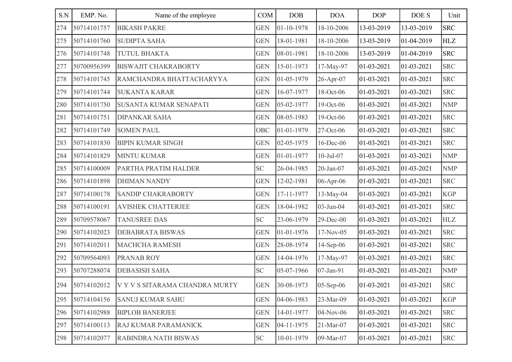| S.N | EMP. No.    | Name of the employee           | COM        | DOB        | <b>DOA</b>      | <b>DOP</b>     | DOE S          | Unit       |
|-----|-------------|--------------------------------|------------|------------|-----------------|----------------|----------------|------------|
| 274 | 50714101757 | <b>BIKASH PAKRE</b>            | <b>GEN</b> | 01-10-1978 | 18-10-2006      | 13-03-2019     | 13-03-2019     | <b>SRC</b> |
| 275 | 50714101760 | <b>SUDIPTA SAHA</b>            | <b>GEN</b> | 18-01-1981 | 18-10-2006      | 13-03-2019     | $ 01-04-2019$  | HLZ        |
| 276 | 50714101748 | <b>TUTUL BHAKTA</b>            | <b>GEN</b> | 08-01-1981 | 18-10-2006      | 13-03-2019     | 01-04-2019     | <b>SRC</b> |
| 277 | 50700956399 | <b>BISWAJIT CHAKRABORTY</b>    | <b>GEN</b> | 15-01-1973 | 17-May-97       | $ 01-03-2021$  | $ 01-03-2021$  | <b>SRC</b> |
| 278 | 50714101745 | RAMCHANDRA BHATTACHARYYA       | <b>GEN</b> | 01-05-1979 | 26-Apr-07       | $ 01-03-2021$  | 01-03-2021     | <b>SRC</b> |
| 279 | 50714101744 | <b>SUKANTA KARAR</b>           | <b>GEN</b> | 16-07-1977 | 18-Oct-06       | $ 01-03-2021$  | $ 01-03-2021$  | <b>SRC</b> |
| 280 | 50714101750 | <b>SUSANTA KUMAR SENAPATI</b>  | <b>GEN</b> | 05-02-1977 | 19-Oct-06       | $ 01-03-2021$  | 01-03-2021     | <b>NMP</b> |
| 281 | 50714101751 | <b>DIPANKAR SAHA</b>           | <b>GEN</b> | 08-05-1983 | 19-Oct-06       | $ 01-03-2021$  | $ 01-03-2021$  | <b>SRC</b> |
| 282 | 50714101749 | <b>SOMEN PAUL</b>              | <b>OBC</b> | 01-01-1979 | 27-Oct-06       | $ 01-03-2021$  | 01-03-2021     | <b>SRC</b> |
| 283 | 50714101830 | <b>BIPIN KUMAR SINGH</b>       | <b>GEN</b> | 02-05-1975 | 16-Dec-06       | $ 01-03-2021$  | $ 01-03-2021$  | <b>SRC</b> |
| 284 | 50714101829 | <b>MINTU KUMAR</b>             | <b>GEN</b> | 01-01-1977 | $10$ -Jul- $07$ | $ 01-03-2021$  | 01-03-2021     | <b>NMP</b> |
| 285 | 50714100009 | PARTHA PRATIM HALDER           | <b>SC</b>  | 26-04-1985 | $20$ -Jan- $07$ | $ 01-03-2021$  | $ 01-03-2021$  | <b>NMP</b> |
| 286 | 50714101898 | <b>DHIMAN NANDY</b>            | <b>GEN</b> | 12-02-1981 | 06-Apr-06       | $ 01-03-2021$  | 01-03-2021     | <b>SRC</b> |
| 287 | 50714100178 | <b>SANDIP CHAKRABORTY</b>      | <b>GEN</b> | 17-11-1977 | 13-May-04       | $ 01-03-2021$  | $ 01-03-2021$  | <b>KGP</b> |
| 288 | 50714100191 | <b>AVISHEK CHATTERJEE</b>      | <b>GEN</b> | 18-04-1982 | 03-Jun-04       | $ 01-03-2021$  | 01-03-2021     | <b>SRC</b> |
| 289 | 50709578067 | <b>TANUSREE DAS</b>            | <b>SC</b>  | 23-06-1979 | 29-Dec-00       | $ 01-03-2021$  | $ 01-03-2021$  | <b>HLZ</b> |
| 290 | 50714102023 | <b>DEBABRATA BISWAS</b>        | <b>GEN</b> | 01-01-1976 | 17-Nov-05       | $ 01-03-2021$  | 01-03-2021     | <b>SRC</b> |
| 291 | 50714102011 | <b>MACHCHA RAMESH</b>          | <b>GEN</b> | 28-08-1974 | $14$ -Sep-06    | $ 01-03-2021$  | $ 01-03-2021$  | <b>SRC</b> |
| 292 | 50709564093 | <b>PRANAB ROY</b>              | <b>GEN</b> | 14-04-1976 | 17-May-97       | $ 01-03-2021$  | 01-03-2021     | <b>SRC</b> |
| 293 | 50707288074 | <b>DEBASISH SAHA</b>           | <b>SC</b>  | 05-07-1966 | 07-Jan-91       | $ 01-03-2021$  | $ 01-03-2021$  | <b>NMP</b> |
| 294 | 50714102012 | V Y V S SITARAMA CHANDRA MURTY | <b>GEN</b> | 30-08-1973 | 05-Sep-06       | $ 01-03-2021$  | $ 01-03-2021$  | <b>SRC</b> |
| 295 | 50714104156 | <b>SANUJ KUMAR SAHU</b>        | <b>GEN</b> | 04-06-1983 | 23-Mar-09       | $ 01-03-2021 $ | $ 01-03-2021 $ | <b>KGP</b> |
| 296 | 50714102988 | <b>BIPLOB BANERJEE</b>         | <b>GEN</b> | 14-01-1977 | 04-Nov-06       | 01-03-2021     | $ 01-03-2021$  | <b>SRC</b> |
| 297 | 50714100113 | RAJ KUMAR PARAMANICK           | <b>GEN</b> | 04-11-1975 | 21-Mar-07       | $ 01-03-2021$  | $ 01-03-2021$  | <b>SRC</b> |
| 298 | 50714102077 | <b>RABINDRA NATH BISWAS</b>    | <b>SC</b>  | 10-01-1979 | 09-Mar-07       | $ 01-03-2021$  | $ 01-03-2021$  | <b>SRC</b> |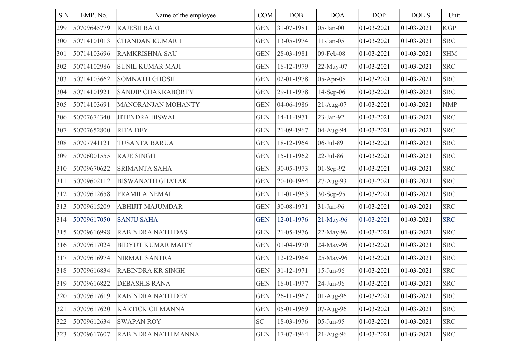| S.N | EMP. No.    | Name of the employee      | COM        | DOB        | <b>DOA</b>      | <b>DOP</b>     | DOE S         | Unit       |
|-----|-------------|---------------------------|------------|------------|-----------------|----------------|---------------|------------|
| 299 | 50709645779 | <b>RAJESH BARI</b>        | <b>GEN</b> | 31-07-1981 | $05$ -Jan- $00$ | 01-03-2021     | 01-03-2021    | <b>KGP</b> |
| 300 | 50714101013 | <b>CHANDAN KUMAR 1</b>    | <b>GEN</b> | 13-05-1974 | $11-Jan-05$     | $ 01-03-2021$  | $ 01-03-2021$ | <b>SRC</b> |
| 301 | 50714103696 | <b>RAMKRISHNA SAU</b>     | <b>GEN</b> | 28-03-1981 | 09-Feb-08       | $ 01-03-2021$  | 01-03-2021    | <b>SHM</b> |
| 302 | 50714102986 | <b>SUNIL KUMAR MAJI</b>   | <b>GEN</b> | 18-12-1979 | 22-May-07       | $ 01-03-2021$  | $ 01-03-2021$ | <b>SRC</b> |
| 303 | 50714103662 | <b>SOMNATH GHOSH</b>      | <b>GEN</b> | 02-01-1978 | 05-Apr-08       | $ 01-03-2021$  | 01-03-2021    | <b>SRC</b> |
| 304 | 50714101921 | <b>SANDIP CHAKRABORTY</b> | <b>GEN</b> | 29-11-1978 | $14$ -Sep-06    | $ 01-03-2021$  | $ 01-03-2021$ | <b>SRC</b> |
| 305 | 50714103691 | <b>MANORANJAN MOHANTY</b> | <b>GEN</b> | 04-06-1986 | $21-Aug-07$     | $ 01-03-2021$  | 01-03-2021    | <b>NMP</b> |
| 306 | 50707674340 | <b>JITENDRA BISWAL</b>    | <b>GEN</b> | 14-11-1971 | 23-Jan-92       | $ 01-03-2021$  | $ 01-03-2021$ | <b>SRC</b> |
| 307 | 50707652800 | <b>RITA DEY</b>           | <b>GEN</b> | 21-09-1967 | 04-Aug-94       | $ 01-03-2021$  | 01-03-2021    | <b>SRC</b> |
| 308 | 50707741121 | <b>TUSANTA BARUA</b>      | <b>GEN</b> | 18-12-1964 | 06-Jul-89       | 01-03-2021     | $ 01-03-2021$ | <b>SRC</b> |
| 309 | 50706001555 | <b>RAJE SINGH</b>         | <b>GEN</b> | 15-11-1962 | $22$ -Jul-86    | $ 01-03-2021$  | 01-03-2021    | <b>SRC</b> |
| 310 | 50709670622 | <b>SRIMANTA SAHA</b>      | <b>GEN</b> | 30-05-1973 | 01-Sep-92       | $01-03-2021$   | $ 01-03-2021$ | <b>SRC</b> |
| 311 | 50709602112 | <b>BISWANATH GHATAK</b>   | <b>GEN</b> | 20-10-1964 | 27-Aug-93       | $ 01-03-2021$  | 01-03-2021    | <b>SRC</b> |
| 312 | 50709612658 | PRAMILA NEMAI             | <b>GEN</b> | 11-01-1963 | 30-Sep-95       | $ 01-03-2021$  | $ 01-03-2021$ | <b>SRC</b> |
| 313 | 50709615209 | <b>ABHIJIT MAJUMDAR</b>   | <b>GEN</b> | 30-08-1971 | 31-Jan-96       | $ 01-03-2021$  | 01-03-2021    | <b>SRC</b> |
| 314 | 50709617050 | <b>SANJU SAHA</b>         | <b>GEN</b> | 12-01-1976 | 21-May-96       | 01-03-2021     | $ 01-03-2021$ | <b>SRC</b> |
| 315 | 50709616998 | <b>RABINDRA NATH DAS</b>  | <b>GEN</b> | 21-05-1976 | 22-May-96       | $ 01-03-2021$  | 01-03-2021    | <b>SRC</b> |
| 316 | 50709617024 | <b>BIDYUT KUMAR MAITY</b> | <b>GEN</b> | 01-04-1970 | 24-May-96       | $ 01-03-2021$  | $ 01-03-2021$ | <b>SRC</b> |
| 317 | 50709616974 | NIRMAL SANTRA             | <b>GEN</b> | 12-12-1964 | 25-May-96       | $ 01-03-2021$  | 01-03-2021    | <b>SRC</b> |
| 318 | 50709616834 | <b>RABINDRA KR SINGH</b>  | <b>GEN</b> | 31-12-1971 | 15-Jun-96       | 01-03-2021     | 01-03-2021    | <b>SRC</b> |
| 319 | 50709616822 | <b>DEBASHIS RANA</b>      | <b>GEN</b> | 18-01-1977 | 24-Jun-96       | $ 01-03-2021$  | $ 01-03-2021$ | <b>SRC</b> |
| 320 | 50709617619 | <b>RABINDRA NATH DEY</b>  | <b>GEN</b> | 26-11-1967 | 01-Aug-96       | $ 01-03-2021 $ | $ 01-03-2021$ | <b>SRC</b> |
| 321 | 50709617620 | <b>KARTICK CH MANNA</b>   | <b>GEN</b> | 05-01-1969 | 07-Aug-96       | $ 01-03-2021 $ | $ 01-03-2021$ | <b>SRC</b> |
| 322 | 50709612634 | <b>SWAPAN ROY</b>         | <b>SC</b>  | 18-03-1976 | 05-Jun-95       | 01-03-2021     | $ 01-03-2021$ | <b>SRC</b> |
| 323 | 50709617607 | RABINDRA NATH MANNA       | <b>GEN</b> | 17-07-1964 | $21-Aug-96$     | $ 01-03-2021$  | $ 01-03-2021$ | <b>SRC</b> |